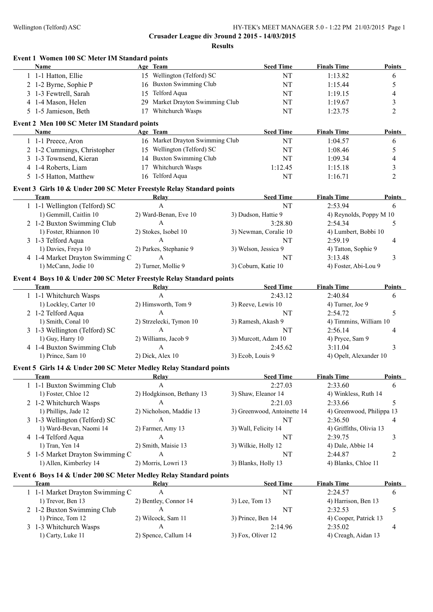**Crusader League div 3round 2 2015 - 14/03/2015 Results**

| Event 1 Women 100 SC Meter IM Standard points<br>Name                               | Age Team                                 | <b>Seed Time</b>             | <b>Finals Time</b>             | <b>Points</b>  |
|-------------------------------------------------------------------------------------|------------------------------------------|------------------------------|--------------------------------|----------------|
| 1 1-1 Hatton, Ellie                                                                 | 15 Wellington (Telford) SC               | NT                           | 1:13.82                        | 6              |
| 2 1-2 Byrne, Sophie P                                                               | 16 Buxton Swimming Club                  | NT                           | 1:15.44                        | 5              |
| 3 1-3 Fewtrell, Sarah                                                               | 15 Telford Aqua                          | NT                           | 1:19.15                        | 4              |
| 4 1-4 Mason, Helen                                                                  | 29 Market Drayton Swimming Club          | NT                           | 1:19.67                        | 3              |
| 5 1-5 Jamieson, Beth                                                                | 17 Whitchurch Wasps                      | NT                           | 1:23.75                        | $\overline{2}$ |
| Event 2 Men 100 SC Meter IM Standard points                                         |                                          |                              |                                |                |
| Name                                                                                | Age Team                                 | <b>Seed Time</b>             | <b>Finals Time</b>             | <b>Points</b>  |
| 1 1-1 Preece, Aron                                                                  | 16 Market Drayton Swimming Club          | NT                           | 1:04.57                        | 6              |
| 2 1-2 Cummings, Christopher                                                         | 15 Wellington (Telford) SC               | NT                           | 1:08.46                        | 5              |
| 3 1-3 Townsend, Kieran                                                              | 14 Buxton Swimming Club                  | NT                           | 1:09.34                        | 4              |
| 4 1-4 Roberts, Liam                                                                 | 17 Whitchurch Wasps                      | 1:12.45                      | 1:15.18                        | 3              |
| 5 1-5 Hatton, Matthew                                                               | 16 Telford Aqua                          | NT                           | 1:16.71                        | $\overline{2}$ |
| Event 3 Girls 10 & Under 200 SC Meter Freestyle Relay Standard points               |                                          |                              |                                |                |
| <b>Team</b>                                                                         | Relay                                    | <b>Seed Time</b>             | <b>Finals Time</b>             | <b>Points</b>  |
| 1 1-1 Wellington (Telford) SC                                                       | $\mathsf{A}$                             | NT                           | 2:53.94                        | 6              |
| 1) Gemmill, Caitlin 10                                                              | 2) Ward-Benan, Eve 10                    | 3) Dudson, Hattie 9          | 4) Reynolds, Poppy M 10        |                |
| 2 1-2 Buxton Swimming Club                                                          | A                                        | 3:28.80                      | 2:54.34                        | 5              |
| 1) Foster, Rhiannon 10                                                              | 2) Stokes, Isobel 10                     | 3) Newman, Coralie 10        | 4) Lumbert, Bobbi 10           |                |
| 3 1-3 Telford Aqua                                                                  | A                                        | NT                           | 2:59.19                        | 4              |
| 1) Davies, Freya 10                                                                 | 2) Parkes, Stephanie 9                   | 3) Welson, Jessica 9         | 4) Tatton, Sophie 9            |                |
| 4 1-4 Market Drayton Swimming C                                                     | A                                        | NT                           | 3:13.48                        | 3              |
| 1) McCann, Jodie 10                                                                 | 2) Turner, Mollie 9                      | 3) Coburn, Katie 10          | 4) Foster, Abi-Lou 9           |                |
|                                                                                     |                                          |                              |                                |                |
| Event 4 Boys 10 & Under 200 SC Meter Freestyle Relay Standard points<br><b>Team</b> | <b>Relay</b>                             | <b>Seed Time</b>             | <b>Finals Time</b>             | <b>Points</b>  |
| 1 1-1 Whitchurch Wasps                                                              | $\mathbf{A}$                             | 2:43.12                      | 2:40.84                        | 6              |
| 1) Lockley, Carter 10                                                               | 2) Himsworth, Tom 9                      | 3) Reeve, Lewis 10           | 4) Turner, Joe 9               |                |
| 2 1-2 Telford Aqua                                                                  | $\mathbf{A}$                             | NT                           | 2:54.72                        | 5              |
| 1) Smith, Conal 10                                                                  | 2) Strzelecki, Tymon 10                  | 3) Ramesh, Akash 9           | 4) Timmins, William 10         |                |
| 3 1-3 Wellington (Telford) SC                                                       | $\mathbf{A}$                             | NT                           | 2:56.14                        | 4              |
| 1) Guy, Harry 10                                                                    | 2) Williams, Jacob 9                     | 3) Murcott, Adam 10          | 4) Pryce, Sam 9                |                |
| 4 1-4 Buxton Swimming Club                                                          | $\mathbf{A}$                             | 2:45.62                      | 3:11.04                        | 3              |
| 1) Prince, Sam 10                                                                   | 2) Dick, Alex 10                         | 3) Ecob, Louis 9             | 4) Opelt, Alexander 10         |                |
|                                                                                     |                                          |                              |                                |                |
| Event 5 Girls 14 & Under 200 SC Meter Medley Relay Standard points<br>Team          | Relay                                    | <b>Seed Time</b>             | <b>Finals Time</b>             | <b>Points</b>  |
| 1 1-1 Buxton Swimming Club                                                          | A                                        | 2:27.03                      | 2:33.60                        | 6              |
| 1) Foster, Chloe 12                                                                 | 2) Hodgkinson, Bethany 13                | 3) Shaw, Eleanor 14          | 4) Winkless, Ruth 14           |                |
| 2 1-2 Whitchurch Wasps                                                              | A                                        | 2:21.03                      | 2:33.66                        | 5              |
| 1) Phillips, Jade 12                                                                | 2) Nicholson, Maddie 13                  | 3) Greenwood, Antoinette 14  | 4) Greenwood, Philippa 13      |                |
| 3 1-3 Wellington (Telford) SC                                                       | A                                        | NT                           | 2:36.50                        | 4              |
| 1) Ward-Bevan, Naomi 14                                                             | 2) Farmer, Amy 13                        | 3) Wall, Felicity 14         | 4) Griffiths, Olivia 13        |                |
| 4 1-4 Telford Aqua                                                                  | A                                        | NT                           | 2:39.75                        | 3              |
| 1) Tran, Yen 14                                                                     | 2) Smith, Maisie 13                      | 3) Wilkie, Holly 12          | 4) Dale, Abbie 14              |                |
| 5 1-5 Market Drayton Swimming C                                                     | А                                        | NT                           | 2:44.87                        | $\overline{c}$ |
| 1) Allen, Kimberley 14                                                              | 2) Morris, Lowri 13                      | 3) Blanks, Holly 13          | 4) Blanks, Chloe 11            |                |
|                                                                                     |                                          |                              |                                |                |
| Event 6 Boys 14 & Under 200 SC Meter Medley Relay Standard points<br><b>Team</b>    | Relay                                    | <b>Seed Time</b>             | <b>Finals Time</b>             | <b>Points</b>  |
| 1 1-1 Market Drayton Swimming C                                                     | $\mathbf{A}$                             | $\rm{NT}$                    | 2:24.57                        | 6              |
| 1) Trevor, Ben 13                                                                   | 2) Bentley, Connor 14                    | 3) Lee, Tom 13               | 4) Harrison, Ben 13            |                |
| 2 1-2 Buxton Swimming Club                                                          | $\boldsymbol{A}$                         | $\rm{NT}$                    | 2:32.53                        | 5              |
|                                                                                     |                                          | 3) Prince, Ben 14            | 4) Cooper, Patrick 13          |                |
|                                                                                     |                                          |                              |                                |                |
| 1) Prince, Tom 12                                                                   | 2) Wilcock, Sam 11                       |                              |                                |                |
| 3 1-3 Whitchurch Wasps<br>1) Carty, Luke 11                                         | $\boldsymbol{A}$<br>2) Spence, Callum 14 | 2:14.96<br>3) Fox, Oliver 12 | 2:35.02<br>4) Creagh, Aidan 13 | 4              |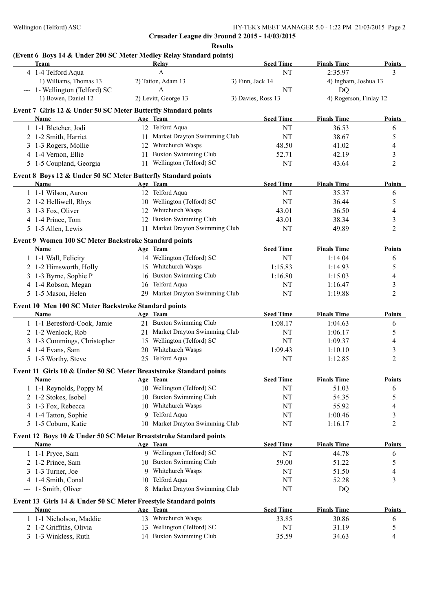**Results**

# **(Event 6 Boys 14 & Under 200 SC Meter Medley Relay Standard points)**

| Team                                                                      |          | Relay                           | <b>Seed Time</b>   | <b>Finals Time</b> | <b>Points</b>          |
|---------------------------------------------------------------------------|----------|---------------------------------|--------------------|--------------------|------------------------|
| 4 1-4 Telford Aqua                                                        |          | A                               | NT                 | 2:35.97            | 3                      |
| 1) Williams, Thomas 13                                                    |          | 2) Tatton, Adam 13              | 3) Finn, Jack 14   |                    | 4) Ingham, Joshua 13   |
| --- 1- Wellington (Telford) SC                                            |          | $\mathbf{A}$                    | NT                 | DQ                 |                        |
| 1) Bowen, Daniel 12                                                       |          | 2) Levitt, George 13            | 3) Davies, Ross 13 |                    | 4) Rogerson, Finlay 12 |
| Event 7 Girls 12 & Under 50 SC Meter Butterfly Standard points            |          |                                 |                    |                    |                        |
| Name                                                                      | Age Team |                                 | <b>Seed Time</b>   | <b>Finals Time</b> | <b>Points</b>          |
| 1 1-1 Bletcher, Jodi                                                      |          | 12 Telford Aqua                 | NT                 | 36.53              | 6                      |
| 2 1-2 Smith, Harriet                                                      |          | 11 Market Drayton Swimming Club | NT                 | 38.67              | 5                      |
| 3 1-3 Rogers, Mollie                                                      |          | 12 Whitchurch Wasps             | 48.50              | 41.02              | 4                      |
| 4 1-4 Vernon, Ellie                                                       |          | 11 Buxton Swimming Club         | 52.71              | 42.19              | 3                      |
| 5 1-5 Coupland, Georgia                                                   |          | 11 Wellington (Telford) SC      | NT                 | 43.64              | $\overline{c}$         |
| Event 8 Boys 12 & Under 50 SC Meter Butterfly Standard points             |          |                                 |                    |                    |                        |
| Name                                                                      | Age Team |                                 | <b>Seed Time</b>   | <b>Finals Time</b> | <b>Points</b>          |
| 1 1-1 Wilson, Aaron                                                       |          | 12 Telford Aqua                 | NT                 | 35.37              | 6                      |
| 2 1-2 Helliwell, Rhys                                                     |          | 10 Wellington (Telford) SC      | NT                 | 36.44              | 5                      |
| 3 1-3 Fox, Oliver                                                         |          | 12 Whitchurch Wasps             | 43.01              | 36.50              | 4                      |
| 4 1-4 Prince, Tom                                                         |          | 12 Buxton Swimming Club         | 43.01              | 38.34              | 3                      |
| 5 1-5 Allen, Lewis                                                        |          | 11 Market Drayton Swimming Club | NT                 | 49.89              | $\overline{c}$         |
| Event 9 Women 100 SC Meter Backstroke Standard points                     |          |                                 |                    |                    |                        |
| Name                                                                      | Age Team |                                 | <b>Seed Time</b>   | <b>Finals Time</b> | <b>Points</b>          |
| 1 1-1 Wall, Felicity                                                      |          | 14 Wellington (Telford) SC      | NT                 | 1:14.04            | 6                      |
| 2 1-2 Himsworth, Holly                                                    |          | 15 Whitchurch Wasps             | 1:15.83            | 1:14.93            | 5                      |
| 3 1-3 Byrne, Sophie P                                                     |          | 16 Buxton Swimming Club         | 1:16.80            | 1:15.03            | 4                      |
| 4 1-4 Robson, Megan                                                       | 16       | Telford Aqua<br>NT              |                    | 1:16.47            | 3                      |
| 5 1-5 Mason, Helen                                                        |          | 29 Market Drayton Swimming Club | NT                 | 1:19.88            | $\overline{c}$         |
|                                                                           |          |                                 |                    |                    |                        |
| Event 10 Men 100 SC Meter Backstroke Standard points<br>Name              | Age Team |                                 | <b>Seed Time</b>   | <b>Finals Time</b> | <b>Points</b>          |
| 1 1-1 Beresford-Cook, Jamie                                               |          | 21 Buxton Swimming Club         | 1:08.17            | 1:04.63            | 6                      |
| 2 1-2 Wenlock, Rob                                                        |          | 21 Market Drayton Swimming Club | NT                 | 1:06.17            | 5                      |
| 3 1-3 Cummings, Christopher                                               |          | 15 Wellington (Telford) SC      | NT                 | 1:09.37            | 4                      |
| 4 1-4 Evans, Sam                                                          |          | 20 Whitchurch Wasps             | 1:09.43            | 1:10.10            | 3                      |
| 5 1-5 Worthy, Steve                                                       |          | 25 Telford Aqua                 | NT                 | 1:12.85            | $\overline{c}$         |
| Event 11 Girls 10 & Under 50 SC Meter Breaststroke Standard points        |          |                                 |                    |                    |                        |
| Name                                                                      | Age Team |                                 | <b>Seed Time</b>   | <b>Finals Time</b> | <b>Points</b>          |
| 1 1-1 Reynolds, Poppy M                                                   |          | 10 Wellington (Telford) SC      | NT                 | 51.03              | 6                      |
| 2 1-2 Stokes, Isobel                                                      |          | 10 Buxton Swimming Club         | NT                 | 54.35              | 5                      |
| 3 1-3 Fox, Rebecca                                                        |          | 10 Whitchurch Wasps             | NT                 | 55.92              | 4                      |
| 4 1-4 Tatton, Sophie                                                      | 9.       | Telford Aqua                    | NT                 | 1:00.46            | 3                      |
| 5 1-5 Coburn, Katie                                                       |          | 10 Market Drayton Swimming Club | NT                 | 1:16.17            | $\overline{c}$         |
|                                                                           |          |                                 |                    |                    |                        |
| Event 12 Boys 10 & Under 50 SC Meter Breaststroke Standard points<br>Name |          |                                 | <b>Seed Time</b>   | <b>Finals Time</b> | <b>Points</b>          |
|                                                                           | Age Team | 9 Wellington (Telford) SC       | NT                 | 44.78              |                        |
| 1 1-1 Pryce, Sam<br>2 1-2 Prince, Sam                                     |          | 10 Buxton Swimming Club         |                    |                    | 6                      |
|                                                                           |          | 9 Whitchurch Wasps              | 59.00              | 51.22              | 5                      |
| 3 1-3 Turner, Joe                                                         |          | 10 Telford Aqua                 | NT                 | 51.50              | 4<br>3                 |
| 4 1-4 Smith, Conal<br>--- 1- Smith, Oliver                                |          | 8 Market Drayton Swimming Club  | NT<br>NT           | 52.28              |                        |
|                                                                           |          |                                 |                    | DQ                 |                        |
| Event 13 Girls 14 & Under 50 SC Meter Freestyle Standard points           |          |                                 |                    |                    |                        |
| Name                                                                      | Age Team |                                 | <b>Seed Time</b>   | <b>Finals Time</b> | <b>Points</b>          |
| 1 1-1 Nicholson, Maddie                                                   |          | 13 Whitchurch Wasps             | 33.85              | 30.86              | 6                      |
| 2 1-2 Griffiths, Olivia                                                   |          | 13 Wellington (Telford) SC      | NT                 | 31.19              | 5                      |
| 3 1-3 Winkless, Ruth                                                      |          | 14 Buxton Swimming Club         | 35.59              | 34.63              | 4                      |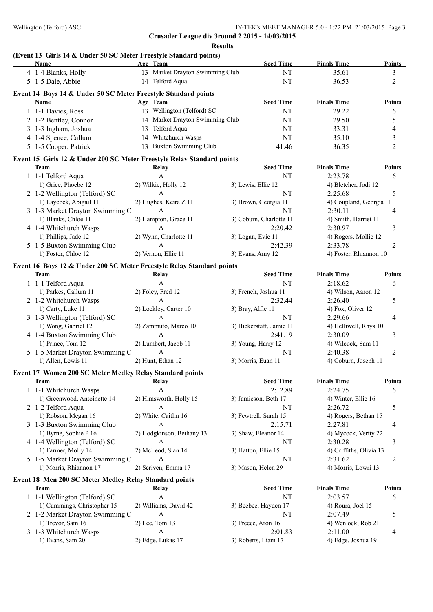**Results**

## **(Event 13 Girls 14 & Under 50 SC Meter Freestyle Standard points)**

| <b>Name</b>           | Age Team                                                       | <b>Seed Time</b> | <b>Finals Time</b> | <b>Points</b> |
|-----------------------|----------------------------------------------------------------|------------------|--------------------|---------------|
| 4 1-4 Blanks, Holly   | 13 Market Drayton Swimming Club                                | NT               | 35.61              |               |
| 5 1-5 Dale, Abbie     | 14 Telford Aqua                                                | NT               | 36.53              |               |
|                       | Event 14 Boys 14 & Under 50 SC Meter Freestyle Standard points |                  |                    |               |
| <b>Name</b>           | Age Team                                                       | <b>Seed Time</b> | <b>Finals Time</b> | <b>Points</b> |
| 1 1-1 Davies, Ross    | Wellington (Telford) SC<br>13                                  | NΤ               | 29.22              | 6             |
| 2 1-2 Bentley, Connor | 14 Market Drayton Swimming Club                                | NT               | 29.50              |               |
| 3 1-3 Ingham, Joshua  | Telford Aqua<br>13.                                            | NT               | 33.31              | 4             |
| 4 1-4 Spence, Callum  | Whitchurch Wasps<br>14                                         | NΤ               | 35.10              |               |
| 5 1-5 Cooper, Patrick | Buxton Swimming Club<br>13.                                    | 41.46            | 36.35              |               |

#### **Event 15 Girls 12 & Under 200 SC Meter Freestyle Relay Standard points**

| Team                            | Relay                 | <b>Seed Time</b>        | <b>Finals Time</b>      | <b>Points</b> |
|---------------------------------|-----------------------|-------------------------|-------------------------|---------------|
| 1 1-1 Telford Aqua              |                       | NT                      | 2:23.78                 | 6             |
| 1) Grice, Phoebe 12             | 2) Wilkie, Holly 12   | 3) Lewis, Ellie 12      | 4) Bletcher, Jodi 12    |               |
| 2 1-2 Wellington (Telford) SC   |                       | NT                      | 2:25.68                 |               |
| 1) Laycock, Abigail 11          | 2) Hughes, Keira Z 11 | 3) Brown, Georgia 11    | 4) Coupland, Georgia 11 |               |
| 3 1-3 Market Drayton Swimming C |                       | NT                      | 2:30.11                 |               |
| 1) Blanks, Chloe 11             | 2) Hampton, Grace 11  | 3) Coburn, Charlotte 11 | 4) Smith, Harriet 11    |               |
| 4 1-4 Whitchurch Wasps          |                       | 2:20.42                 | 2:30.97                 |               |
| 1) Phillips, Jade 12            | 2) Wynn, Charlotte 11 | 3) Logan, Evie 11       | 4) Rogers, Mollie 12    |               |
| 5 1-5 Buxton Swimming Club      | А                     | 2:42.39                 | 2:33.78                 |               |
| 1) Foster, Chloe 12             | 2) Vernon, Ellie 11   | $3)$ Evans, Amy 12      | 4) Foster, Rhiannon 10  |               |

#### **Event 16 Boys 12 & Under 200 SC Meter Freestyle Relay Standard points**

| Team                            | Relay                 | <b>Seed Time</b><br><b>Finals Time</b>            | <b>Points</b> |
|---------------------------------|-----------------------|---------------------------------------------------|---------------|
| 1 1-1 Telford Aqua              |                       | NT<br>2:18.62                                     | 6             |
| 1) Parkes, Callum 11            | 2) Foley, Fred 12     | 3) French, Joshua 11<br>4) Wilson, Aaron 12       |               |
| 2 1-2 Whitchurch Wasps          | A                     | 2:32.44<br>2:26.40                                |               |
| 1) Carty, Luke 11               | 2) Lockley, Carter 10 | 4) Fox, Oliver 12<br>3) Bray, Alfie 11            |               |
| 3 1-3 Wellington (Telford) SC   |                       | NT<br>2:29.66                                     |               |
| 1) Wong, Gabriel 12             | 2) Zammuto, Marco 10  | 3) Bickerstaff, Jamie 11<br>4) Helliwell, Rhys 10 |               |
| 4 1-4 Buxton Swimming Club      | A                     | 2:41.19<br>2:30.09                                |               |
| 1) Prince, Tom 12               | 2) Lumbert, Jacob 11  | 4) Wilcock, Sam 11<br>3) Young, Harry 12          |               |
| 5 1-5 Market Drayton Swimming C | А                     | NT<br>2:40.38                                     |               |
| 1) Allen, Lewis 11              | 2) Hunt, Ethan 12     | 4) Coburn, Joseph 11<br>3) Morris, Euan 11        |               |

#### **Event 17 Women 200 SC Meter Medley Relay Standard points**

| Team                            | Relay                     | <b>Seed Time</b>      | <b>Finals Time</b>      | <b>Points</b> |
|---------------------------------|---------------------------|-----------------------|-------------------------|---------------|
| 1 1-1 Whitchurch Wasps          |                           | 2:12.89               | 2:24.75                 | 6             |
| 1) Greenwood, Antoinette 14     | 2) Himsworth, Holly 15    | 3) Jamieson, Beth 17  | 4) Winter, Ellie 16     |               |
| 2 1-2 Telford Aqua              |                           | NT                    | 2:26.72                 |               |
| 1) Robson, Megan 16             | 2) White, Caitlin 16      | 3) Fewtrell, Sarah 15 | 4) Rogers, Bethan 15    |               |
| 3 1-3 Buxton Swimming Club      |                           | 2:15.71               | 2:27.81                 |               |
| 1) Byrne, Sophie P 16           | 2) Hodgkinson, Bethany 13 | 3) Shaw, Eleanor 14   | 4) Mycock, Verity 22    |               |
| 4 1-4 Wellington (Telford) SC   |                           | NT                    | 2:30.28                 |               |
| 1) Farmer, Molly 14             | 2) McLeod, Sian 14        | 3) Hatton, Ellie 15   | 4) Griffiths, Olivia 13 |               |
| 5 1-5 Market Drayton Swimming C | A                         | NT                    | 2:31.62                 |               |
| 1) Morris, Rhiannon 17          | 2) Scriven, Emma 17       | 3) Mason, Helen 29    | 4) Morris, Lowri 13     |               |

#### **Event 18 Men 200 SC Meter Medley Relay Standard points**

| <b>Team</b>                     | Relav                 | <b>Seed Time</b>     | <b>Finals Time</b> | <b>Points</b> |
|---------------------------------|-----------------------|----------------------|--------------------|---------------|
| 1 1-1 Wellington (Telford) SC   |                       | NT                   | 2:03.57            |               |
| 1) Cummings, Christopher 15     | 2) Williams, David 42 | 3) Beebee, Hayden 17 | 4) Roura, Joel 15  |               |
| 2 1-2 Market Drayton Swimming C |                       | NT                   | 2.0749             |               |
| 1) Trevor, Sam $16$             | $2)$ Lee, Tom 13      | 3) Preece, Aron 16   | 4) Wenlock, Rob 21 |               |
| 3 1-3 Whitchurch Wasps          |                       | 2:01.83              | 2:11.00            | 4             |
| 1) Evans, Sam 20                | 2) Edge, Lukas 17     | 3) Roberts, Liam 17  | 4) Edge, Joshua 19 |               |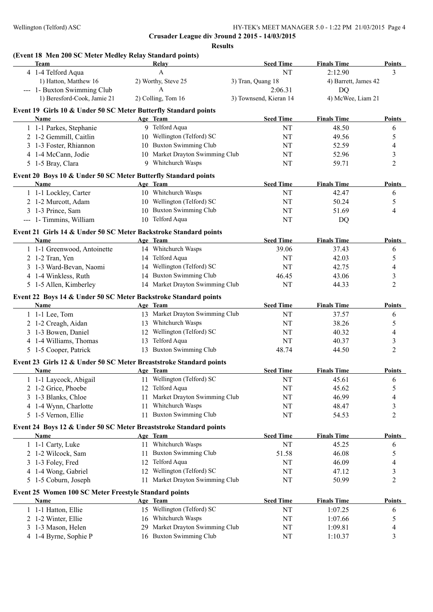**Results**

## **(Event 18 Men 200 SC Meter Medley Relay Standard points)**

| Team                                                               | Relay                              | <b>Seed Time</b>       | <b>Finals Time</b>   | <b>Points</b>  |
|--------------------------------------------------------------------|------------------------------------|------------------------|----------------------|----------------|
| 4 1-4 Telford Aqua                                                 | A                                  | NT                     | 2:12.90              | 3              |
| 1) Hatton, Matthew 16                                              | 2) Worthy, Steve 25                | 3) Tran, Quang 18      | 4) Barrett, James 42 |                |
| --- 1- Buxton Swimming Club                                        | $\mathsf{A}$                       | 2:06.31                | <b>DQ</b>            |                |
| 1) Beresford-Cook, Jamie 21                                        | 2) Colling, Tom 16                 | 3) Townsend, Kieran 14 | 4) McWee, Liam 21    |                |
| Event 19 Girls 10 & Under 50 SC Meter Butterfly Standard points    |                                    |                        |                      |                |
| Name                                                               | Age Team                           | <b>Seed Time</b>       | <b>Finals Time</b>   | <b>Points</b>  |
| 1 1-1 Parkes, Stephanie                                            | 9 Telford Aqua                     | NT                     | 48.50                | 6              |
| 2 1-2 Gemmill, Caitlin                                             | 10 Wellington (Telford) SC         | $\rm{NT}$              | 49.56                | 5              |
| 3 1-3 Foster, Rhiannon                                             | 10 Buxton Swimming Club            | NT                     | 52.59                | 4              |
| 4 1-4 McCann, Jodie                                                | 10 Market Drayton Swimming Club    | $\rm{NT}$              | 52.96                | 3              |
| 5 1-5 Bray, Clara                                                  | 9 Whitchurch Wasps                 | NT                     | 59.71                | $\overline{c}$ |
| Event 20 Boys 10 & Under 50 SC Meter Butterfly Standard points     |                                    |                        |                      |                |
| Name                                                               | Age Team                           | <b>Seed Time</b>       | <b>Finals Time</b>   | <b>Points</b>  |
| 1 1-1 Lockley, Carter                                              | 10 Whitchurch Wasps                | NT                     | 42.47                | 6              |
| 2 1-2 Murcott, Adam                                                | 10 Wellington (Telford) SC         | NT                     | 50.24                | 5              |
| 3 1-3 Prince, Sam                                                  | 10 Buxton Swimming Club            | NT                     | 51.69                | 4              |
| --- 1- Timmins, William                                            | 10 Telford Aqua                    | NT                     | DQ                   |                |
| Event 21 Girls 14 & Under 50 SC Meter Backstroke Standard points   |                                    |                        |                      |                |
| Name                                                               | Age Team                           | <b>Seed Time</b>       | <b>Finals Time</b>   | <b>Points</b>  |
| 1 1-1 Greenwood, Antoinette                                        | 14 Whitchurch Wasps                | 39.06                  | 37.43                | 6              |
| 2 1-2 Tran, Yen                                                    | 14 Telford Aqua                    | NT                     | 42.03                | 5              |
| 3 1-3 Ward-Bevan, Naomi                                            | 14 Wellington (Telford) SC         | NT                     | 42.75                | 4              |
| 4 1-4 Winkless, Ruth                                               | 14 Buxton Swimming Club            | 46.45                  | 43.06                | $\mathfrak{Z}$ |
| 5 1-5 Allen, Kimberley                                             | 14 Market Drayton Swimming Club    | NT                     | 44.33                | $\overline{2}$ |
| Event 22 Boys 14 & Under 50 SC Meter Backstroke Standard points    |                                    |                        |                      |                |
| Name                                                               | Age Team                           | <b>Seed Time</b>       | <b>Finals Time</b>   | <b>Points</b>  |
| 1 1-1 Lee, Tom                                                     | 13 Market Drayton Swimming Club    | NT                     | 37.57                | 6              |
| 2 1-2 Creagh, Aidan                                                | 13 Whitchurch Wasps                | NT                     | 38.26                | 5              |
| 3 1-3 Bowen, Daniel                                                | 12 Wellington (Telford) SC         | NT                     | 40.32                | 4              |
| 4 1-4 Williams, Thomas                                             | 13 Telford Aqua                    | NT                     | 40.37                | 3              |
| 5 1-5 Cooper, Patrick                                              | 13 Buxton Swimming Club            | 48.74                  | 44.50                | 2              |
| Event 23 Girls 12 & Under 50 SC Meter Breaststroke Standard points |                                    |                        |                      |                |
| Name                                                               | Age Team                           | <b>Seed Time</b>       | <b>Finals Time</b>   | <b>Points</b>  |
| 1 1-1 Laycock, Abigail                                             | 11 Wellington (Telford) SC         | NT                     | 45.61                | 6              |
| 2 1-2 Grice, Phoebe                                                | 12 Telford Aqua                    | NT                     | 45.62                | 5              |
| 3 1-3 Blanks, Chloe                                                | Market Drayton Swimming Club<br>11 | NT                     | 46.99                | 4              |
| 4 1-4 Wynn, Charlotte                                              | Whitchurch Wasps<br>11             | NT                     | 48.47                | 3              |
| 5 1-5 Vernon, Ellie                                                | <b>Buxton Swimming Club</b><br>11  | NT                     | 54.53                | 2              |
| Event 24 Boys 12 & Under 50 SC Meter Breaststroke Standard points  |                                    |                        |                      |                |
| <b>Name</b>                                                        | Age Team                           | <b>Seed Time</b>       | <b>Finals Time</b>   | <b>Points</b>  |
| 1 1-1 Carty, Luke                                                  | 11 Whitchurch Wasps                | $\rm{NT}$              | 45.25                | 6              |
| 2 1-2 Wilcock, Sam                                                 | <b>Buxton Swimming Club</b><br>11  | 51.58                  | 46.08                | 5              |
| 3 1-3 Foley, Fred                                                  | 12 Telford Aqua                    | NT                     | 46.09                | 4              |
| 4 1-4 Wong, Gabriel                                                | 12 Wellington (Telford) SC         | NT                     | 47.12                | 3              |
| 5 1-5 Coburn, Joseph                                               | Market Drayton Swimming Club<br>11 | NT                     | 50.99                | $\overline{c}$ |
| Event 25 Women 100 SC Meter Freestyle Standard points              |                                    |                        |                      |                |
| Name                                                               | Age Team                           | <b>Seed Time</b>       | <b>Finals Time</b>   | <b>Points</b>  |
| 1 1-1 Hatton, Ellie                                                | 15 Wellington (Telford) SC         | NT                     | 1:07.25              | 6              |
| 2 1-2 Winter, Ellie                                                | 16 Whitchurch Wasps                | NT                     | 1:07.66              | 5              |
| 3 1-3 Mason, Helen                                                 | 29 Market Drayton Swimming Club    | NT                     | 1:09.81              | 4              |
| 4 1-4 Byrne, Sophie P                                              | 16 Buxton Swimming Club            | $\rm{NT}$              | 1:10.37              | 3              |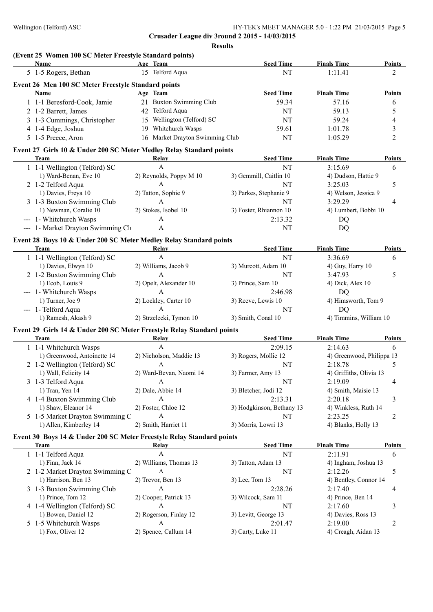**Crusader League div 3round 2 2015 - 14/03/2015 Results**

## **(Event 25 Women 100 SC Meter Freestyle Standard points)**

| Name                                                                   | Age Team                        | <b>Seed Time</b>          | <b>Finals Time</b>        | <b>Points</b>  |
|------------------------------------------------------------------------|---------------------------------|---------------------------|---------------------------|----------------|
| 5 1-5 Rogers, Bethan                                                   | 15 Telford Aqua                 | NT                        | 1:11.41                   | 2              |
| Event 26 Men 100 SC Meter Freestyle Standard points                    |                                 |                           |                           |                |
| Name                                                                   | Age Team                        | <b>Seed Time</b>          | <b>Finals Time</b>        | <b>Points</b>  |
| 1 1-1 Beresford-Cook, Jamie                                            | 21 Buxton Swimming Club         | 59.34                     | 57.16                     | 6              |
| 2 1-2 Barrett, James                                                   | 42 Telford Aqua                 | <b>NT</b>                 | 59.13                     | 5              |
| 3 1-3 Cummings, Christopher                                            | 15 Wellington (Telford) SC      | NT                        | 59.24                     | 4              |
| 4 1-4 Edge, Joshua                                                     | 19 Whitchurch Wasps             | 59.61                     | 1:01.78                   | 3              |
| 5 1-5 Preece, Aron                                                     | 16 Market Drayton Swimming Club | NT                        | 1:05.29                   | $\overline{c}$ |
|                                                                        |                                 |                           |                           |                |
| Event 27 Girls 10 & Under 200 SC Meter Medley Relay Standard points    |                                 |                           |                           |                |
| <b>Team</b>                                                            | Relay                           | <b>Seed Time</b>          | <b>Finals Time</b>        | <b>Points</b>  |
| 1 1-1 Wellington (Telford) SC                                          | $\mathbf{A}$                    | NT                        | 3:15.69                   | 6              |
| 1) Ward-Benan, Eve 10                                                  | 2) Reynolds, Poppy M 10         | 3) Gemmill, Caitlin 10    | 4) Dudson, Hattie 9       |                |
| 2 1-2 Telford Aqua                                                     | $\mathbf{A}$                    | NT                        | 3:25.03                   | 5              |
| 1) Davies, Freya 10                                                    | 2) Tatton, Sophie 9             | 3) Parkes, Stephanie 9    | 4) Welson, Jessica 9      |                |
| 3 1-3 Buxton Swimming Club                                             | $\mathbf{A}$                    | NT                        | 3:29.29                   | 4              |
| 1) Newman, Coralie 10                                                  | 2) Stokes, Isobel 10            | 3) Foster, Rhiannon 10    | 4) Lumbert, Bobbi 10      |                |
| --- 1- Whitchurch Wasps                                                | A                               | 2:13.32                   | DQ                        |                |
| --- 1- Market Drayton Swimming Clu                                     | A                               | NT                        | DQ                        |                |
| Event 28 Boys 10 & Under 200 SC Meter Medley Relay Standard points     |                                 |                           |                           |                |
| <b>Team</b>                                                            | Relay                           | <b>Seed Time</b>          | <b>Finals Time</b>        | Points         |
| 1 1-1 Wellington (Telford) SC                                          | A                               | NT                        | 3:36.69                   | 6              |
| 1) Davies, Elwyn 10                                                    | 2) Williams, Jacob 9            | 3) Murcott, Adam 10       | 4) Guy, Harry 10          |                |
| 2 1-2 Buxton Swimming Club                                             | A                               | NT                        | 3:47.93                   | 5              |
| 1) Ecob, Louis 9                                                       | 2) Opelt, Alexander 10          | 3) Prince, Sam 10         | 4) Dick, Alex 10          |                |
| --- 1- Whitchurch Wasps                                                | A                               | 2:46.98                   | <b>DQ</b>                 |                |
| 1) Turner, Joe 9                                                       | 2) Lockley, Carter 10           | 3) Reeve, Lewis 10        | 4) Himsworth, Tom 9       |                |
| --- 1- Telford Aqua                                                    | $\overline{A}$                  | NT                        | DQ                        |                |
| 1) Ramesh, Akash 9                                                     | 2) Strzelecki, Tymon 10         | 3) Smith, Conal 10        | 4) Timmins, William 10    |                |
|                                                                        |                                 |                           |                           |                |
| Event 29 Girls 14 & Under 200 SC Meter Freestyle Relay Standard points |                                 |                           |                           |                |
| Team                                                                   | <b>Relay</b>                    | <b>Seed Time</b>          | <b>Finals Time</b>        | <b>Points</b>  |
| 1 1-1 Whitchurch Wasps                                                 | $\mathbf{A}$                    | 2:09.15                   | 2:14.63                   | 6              |
| 1) Greenwood, Antoinette 14                                            | 2) Nicholson, Maddie 13         | 3) Rogers, Mollie 12      | 4) Greenwood, Philippa 13 |                |
| 2 1-2 Wellington (Telford) SC                                          | $\mathbf{A}$                    | NT                        | 2:18.78                   | 5              |
| 1) Wall, Felicity 14                                                   | 2) Ward-Bevan, Naomi 14         | 3) Farmer, Amy 13         | 4) Griffiths, Olivia 13   |                |
| 3 1-3 Telford Aqua                                                     | A                               | NT                        | 2:19.09                   | 4              |
| 1) Tran, Yen 14                                                        | 2) Dale, Abbie 14               | 3) Bletcher, Jodi 12      | 4) Smith, Maisie 13       |                |
| 4 1-4 Buxton Swimming Club                                             | A                               | 2:13.31                   | 2:20.18                   | 3              |
| 1) Shaw, Eleanor 14                                                    | 2) Foster, Chloe 12             | 3) Hodgkinson, Bethany 13 | 4) Winkless, Ruth 14      |                |
| 5 1-5 Market Drayton Swimming C                                        | A                               | NT                        | 2:23.25                   | 2              |
| 1) Allen, Kimberley 14                                                 | 2) Smith, Harriet 11            | 3) Morris, Lowri 13       | 4) Blanks, Holly 13       |                |
| Event 30 Boys 14 & Under 200 SC Meter Freestyle Relay Standard points  |                                 |                           |                           |                |
| Team                                                                   | <b>Relay</b>                    | <b>Seed Time</b>          | <b>Finals Time</b>        | Points         |
| 1 1-1 Telford Aqua                                                     | A                               | NT                        | 2:11.91                   | 6              |
| 1) Finn, Jack 14                                                       | 2) Williams, Thomas 13          | 3) Tatton, Adam 13        | 4) Ingham, Joshua 13      |                |
| 2 1-2 Market Drayton Swimming C                                        | A                               | NT                        | 2:12.26                   | 5              |
| 1) Harrison, Ben 13                                                    | 2) Trevor, Ben 13               | 3) Lee, Tom 13            | 4) Bentley, Connor 14     |                |
| 3 1-3 Buxton Swimming Club                                             | A                               | 2:28.26                   | 2:17.40                   | 4              |
|                                                                        |                                 |                           |                           |                |
| 1) Prince, Tom 12                                                      | 2) Cooper, Patrick 13           | 3) Wilcock, Sam 11        | 4) Prince, Ben 14         |                |
| 4 1-4 Wellington (Telford) SC                                          | А                               | NT                        | 2:17.60                   | 3              |
| 1) Bowen, Daniel 12                                                    | 2) Rogerson, Finlay 12          | 3) Levitt, George 13      | 4) Davies, Ross 13        |                |
| 5 1-5 Whitchurch Wasps                                                 | A                               | 2:01.47                   | 2:19.00                   | 2              |
| 1) Fox, Oliver 12                                                      | 2) Spence, Callum 14            | 3) Carty, Luke 11         | 4) Creagh, Aidan 13       |                |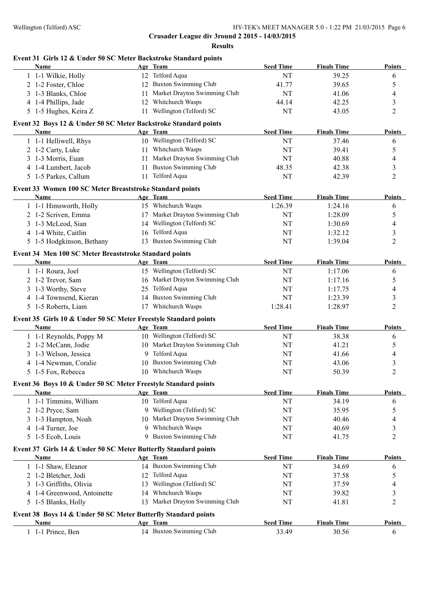# **Crusader League div 3round 2 2015 - 14/03/2015 Results Event 31 Girls 12 & Under 50 SC Meter Backstroke Standard points Name Age Team Seed Time Finals Time Points** 1 1-1 Wilkie, Holly 12 Telford Aqua 2008 NT 39.25 6 2 1-2 Foster, Chloe 12 Buxton Swimming Club 41.77 39.65 5 3 1-3 Blanks, Chloe 11 Market Drayton Swimming Club NT 41.06 4 4 1-4 Phillips, Jade 12 Whitchurch Wasps 44.14 42.25 3 5 1-5 Hughes, Keira Z 11 Wellington (Telford) SC NT 43.05 2 **Event 32 Boys 12 & Under 50 SC Meter Backstroke Standard points Name Age Team Seed Time Finals Time Points** 1 1-1 Helliwell, Rhys 10 Wellington (Telford) SC NT 37.46 6 2 1-2 Carty, Luke 11 Whitchurch Wasps NT 39.41 5 3 1-3 Morris, Euan 11 Market Drayton Swimming Club NT 40.88 4 4 1-4 Lumbert, Jacob 11 Buxton Swimming Club 48.35 42.38 3 5 1-5 Parkes, Callum 11 Telford Aqua NT 42.39 2 **Event 33 Women 100 SC Meter Breaststroke Standard points Name Age Team Seed Time Finals Time Points** 1 1-1 Himsworth, Holly 15 Whitchurch Wasps 1:26.39 1:24.16 6 2 1-2 Scriven, Emma 17 Market Drayton Swimming Club NT 1:28.09 5 3 1-3 McLeod, Sian 14 Wellington (Telford) SC NT 1:30.69 4 4 1-4 White, Caitlin 16 Telford Aqua NT 1:32.12 3 5 1-5 Hodgkinson, Bethany 13 Buxton Swimming Club NT 1:39.04 2 **Event 34 Men 100 SC Meter Breaststroke Standard points Name Age Team Seed Time Finals Time Points** 1 1-1 Roura, Joel 15 Wellington (Telford) SC 1:17.06 6 2 1-2 Trevor, Sam 16 Market Drayton Swimming Club NT 1:17.16 5 3 1-3 Worthy, Steve 25 Telford Aqua NT 1:17.75 4 4 1-4 Townsend, Kieran 14 Buxton Swimming Club NT 1:23.39 3 5 1-5 Roberts, Liam 17 Whitchurch Wasps 1:28.41 1:28.97 2 **Event 35 Girls 10 & Under 50 SC Meter Freestyle Standard points Name Age Team Seed Time Finals Time Points** 1 1-1 Reynolds, Poppy M 10 Wellington (Telford) SC NT 38.38 6 2 1-2 McCann, Jodie 10 Market Drayton Swimming Club NT 41.21 5 3 1-3 Welson, Jessica 9 Telford Aqua NT 41.66 4 4 1-4 Newman, Coralie 10 Buxton Swimming Club NT 43.06 3 5 1-5 Fox, Rebecca 10 Whitchurch Wasps NT 50.39 2 **Event 36 Boys 10 & Under 50 SC Meter Freestyle Standard points Name Age Team Seed Time Finals Time Points**

| 1-1 Timmins, William | 10 Telford Aqua                 | NT | 34.19 |  |
|----------------------|---------------------------------|----|-------|--|
| 2 1-2 Pryce, Sam     | 9 Wellington (Telford) SC       | NT | 35.95 |  |
| 3 1-3 Hampton, Noah  | 10 Market Drayton Swimming Club | NT | 40.46 |  |
| 4 1-4 Turner, Joe    | 9 Whitchurch Wasps              | NT | 40.69 |  |
| 5 1-5 Ecob, Louis    | 9 Buxton Swimming Club          | NT | 41.75 |  |

#### **Event 37 Girls 14 & Under 50 SC Meter Butterfly Standard points**

| <b>Name</b>                                                    | Age Team                        | <b>Seed Time</b> | <b>Finals Time</b> | <b>Points</b> |
|----------------------------------------------------------------|---------------------------------|------------------|--------------------|---------------|
| 1 1-1 Shaw, Eleanor                                            | 14 Buxton Swimming Club         | NΤ               | 34.69              | 6             |
| 2 1-2 Bletcher, Jodi                                           | Telford Aqua<br>12 <sup>1</sup> | NT               | 37.58              |               |
| 3 1-3 Griffiths, Olivia                                        | Wellington (Telford) SC<br>13.  | NΤ               | 37.59              | 4             |
| 4 1-4 Greenwood, Antoinette                                    | Whitchurch Wasps<br>14          | NT               | 39.82              |               |
| 5 1-5 Blanks, Holly                                            | 13 Market Drayton Swimming Club | NT               | 41.81              |               |
| Event 38 Boys 14 & Under 50 SC Meter Butterfly Standard points |                                 |                  |                    |               |
| <b>Name</b>                                                    | Age Team                        | <b>Seed Time</b> | <b>Finals Time</b> | <b>Points</b> |
| 1 1-1 Prince, Ben                                              | 14 Buxton Swimming Club         | 33.49            | 30.56              | b             |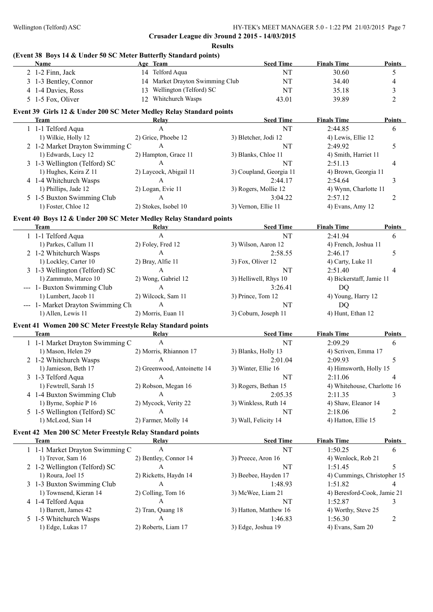| <b>Results</b> |
|----------------|
|----------------|

## **(Event 38 Boys 14 & Under 50 SC Meter Butterfly Standard points)**

|  | Name                                                                | Age Team                        |                         | <b>Seed Time</b> | <b>Finals Time</b>          | <b>Points</b>  |
|--|---------------------------------------------------------------------|---------------------------------|-------------------------|------------------|-----------------------------|----------------|
|  | 2 1-2 Finn, Jack                                                    | 14 Telford Aqua                 |                         | NT               | 30.60                       | 5              |
|  | 3 1-3 Bentley, Connor                                               | 14 Market Drayton Swimming Club |                         | NT               | 34.40                       | $\overline{4}$ |
|  | 4 1-4 Davies, Ross                                                  | 13 Wellington (Telford) SC      |                         | NT               | 35.18                       | $\mathfrak{Z}$ |
|  | 5 1-5 Fox, Oliver                                                   | 12 Whitchurch Wasps             |                         | 43.01            | 39.89                       | $\overline{2}$ |
|  |                                                                     |                                 |                         |                  |                             |                |
|  | Event 39 Girls 12 & Under 200 SC Meter Medley Relay Standard points |                                 |                         |                  |                             |                |
|  | Team                                                                | Relay                           |                         | <b>Seed Time</b> | <b>Finals Time</b>          | <b>Points</b>  |
|  | 1 1-1 Telford Aqua                                                  | A                               |                         | NT               | 2:44.85                     | 6              |
|  | 1) Wilkie, Holly 12                                                 | 2) Grice, Phoebe 12             | 3) Bletcher, Jodi 12    |                  | 4) Lewis, Ellie 12          |                |
|  | 2 1-2 Market Drayton Swimming C                                     | A                               |                         | NT               | 2:49.92                     | 5              |
|  | 1) Edwards, Lucy 12                                                 | 2) Hampton, Grace 11            | 3) Blanks, Chloe 11     |                  | 4) Smith, Harriet 11        |                |
|  | 3 1-3 Wellington (Telford) SC                                       | A                               |                         | NT               | 2:51.13                     | 4              |
|  | 1) Hughes, Keira Z 11                                               | 2) Laycock, Abigail 11          | 3) Coupland, Georgia 11 |                  | 4) Brown, Georgia 11        |                |
|  | 4 1-4 Whitchurch Wasps                                              | A                               |                         | 2:44.17          | 2:54.64                     | 3              |
|  | 1) Phillips, Jade 12                                                | 2) Logan, Evie 11               | 3) Rogers, Mollie 12    |                  | 4) Wynn, Charlotte 11       |                |
|  | 5 1-5 Buxton Swimming Club                                          | A                               |                         | 3:04.22          | 2:57.12                     | 2              |
|  | 1) Foster, Chloe 12                                                 | 2) Stokes, Isobel 10            | 3) Vernon, Ellie 11     |                  | 4) Evans, Amy 12            |                |
|  | Event 40 Boys 12 & Under 200 SC Meter Medley Relay Standard points  |                                 |                         |                  |                             |                |
|  | Team                                                                | Relay                           |                         | <b>Seed Time</b> | <b>Finals Time</b>          | <b>Points</b>  |
|  | 1 1-1 Telford Aqua                                                  | $\mathbf{A}$                    |                         | NT               | 2:41.94                     | 6              |
|  | 1) Parkes, Callum 11                                                | 2) Foley, Fred 12               | 3) Wilson, Aaron 12     |                  | 4) French, Joshua 11        |                |
|  | 2 1-2 Whitchurch Wasps                                              | $\mathbf{A}$                    |                         | 2:58.55          | 2:46.17                     | 5              |
|  | 1) Lockley, Carter 10                                               | 2) Bray, Alfie 11               | 3) Fox, Oliver 12       |                  | 4) Carty, Luke 11           |                |
|  | 3 1-3 Wellington (Telford) SC                                       | A                               |                         | NT               | 2:51.40                     | $\overline{4}$ |
|  | 1) Zammuto, Marco 10                                                | 2) Wong, Gabriel 12             | 3) Helliwell, Rhys 10   |                  | 4) Bickerstaff, Jamie 11    |                |
|  | --- 1- Buxton Swimming Club                                         | $\mathbf{A}$                    |                         | 3:26.41          | DQ                          |                |
|  | 1) Lumbert, Jacob 11                                                | 2) Wilcock, Sam 11              | 3) Prince, Tom 12       |                  | 4) Young, Harry 12          |                |
|  | --- 1- Market Drayton Swimming Clu                                  | $\mathbf{A}$                    |                         | NT               | <b>DQ</b>                   |                |
|  | 1) Allen, Lewis 11                                                  | 2) Morris, Euan 11              | 3) Coburn, Joseph 11    |                  | 4) Hunt, Ethan 12           |                |
|  |                                                                     |                                 |                         |                  |                             |                |
|  | Event 41 Women 200 SC Meter Freestyle Relay Standard points<br>Team | Relay                           |                         | <b>Seed Time</b> | <b>Finals Time</b>          | Points         |
|  | 1 1-1 Market Drayton Swimming C                                     | A                               |                         | NT               | 2:09.29                     | 6              |
|  | 1) Mason, Helen 29                                                  | 2) Morris, Rhiannon 17          | 3) Blanks, Holly 13     |                  | 4) Scriven, Emma 17         |                |
|  | 2 1-2 Whitchurch Wasps                                              | A                               |                         | 2:01.04          | 2:09.93                     | 5              |
|  | 1) Jamieson, Beth 17                                                | 2) Greenwood, Antoinette 14     |                         |                  | 4) Himsworth, Holly 15      |                |
|  |                                                                     |                                 | 3) Winter, Ellie 16     |                  |                             |                |
|  | 3 1-3 Telford Aqua                                                  | A                               |                         | NT               | 2:11.06                     |                |
|  | 1) Fewtrell, Sarah 15                                               | 2) Robson, Megan 16             | 3) Rogers, Bethan 15    |                  | 4) Whitehouse, Charlotte 16 |                |
|  | 4 1-4 Buxton Swimming Club                                          | A                               |                         | 2:05.35          | 2:11.35                     | 3              |
|  | 1) Byrne, Sophie P 16                                               | 2) Mycock, Verity 22            | 3) Winkless, Ruth 14    |                  | 4) Shaw, Eleanor 14         |                |
|  | 5 1-5 Wellington (Telford) SC                                       | A                               |                         | NT               | 2:18.06                     | 2              |
|  | 1) McLeod, Sian 14                                                  | 2) Farmer, Molly 14             | 3) Wall, Felicity 14    |                  | 4) Hatton, Ellie 15         |                |
|  | Event 42 Men 200 SC Meter Freestyle Relay Standard points           |                                 |                         |                  |                             |                |
|  | Team                                                                | Relay                           |                         | <b>Seed Time</b> | <b>Finals Time</b>          | <b>Points</b>  |
|  | 1 1-1 Market Drayton Swimming C                                     | A                               |                         | NT               | 1:50.25                     | 6              |
|  | 1) Trevor, Sam 16                                                   | 2) Bentley, Connor 14           | 3) Preece, Aron 16      |                  | 4) Wenlock, Rob 21          |                |
|  | 2 1-2 Wellington (Telford) SC                                       | $\mathbf{A}$                    |                         | NT               | 1:51.45                     | 5              |
|  | 1) Roura, Joel 15                                                   | 2) Ricketts, Haydn 14           | 3) Beebee, Hayden 17    |                  | 4) Cummings, Christopher 15 |                |
|  | 3 1-3 Buxton Swimming Club                                          | $\mathbf{A}$                    |                         | 1:48.93          | 1:51.82                     | 4              |
|  | 1) Townsend, Kieran 14                                              | 2) Colling, Tom 16              | 3) McWee, Liam 21       |                  | 4) Beresford-Cook, Jamie 21 |                |
|  | 4 1-4 Telford Aqua                                                  | A                               |                         | NT               | 1:52.87                     | 3              |
|  | 1) Barrett, James 42                                                | 2) Tran, Quang 18               | 3) Hatton, Matthew 16   |                  | 4) Worthy, Steve 25         |                |
|  | 5 1-5 Whitchurch Wasps                                              | $\mathbf{A}$                    |                         | 1:46.83          | 1:56.30                     | 2              |
|  | 1) Edge, Lukas 17                                                   | 2) Roberts, Liam 17             | 3) Edge, Joshua 19      |                  | 4) Evans, Sam 20            |                |
|  |                                                                     |                                 |                         |                  |                             |                |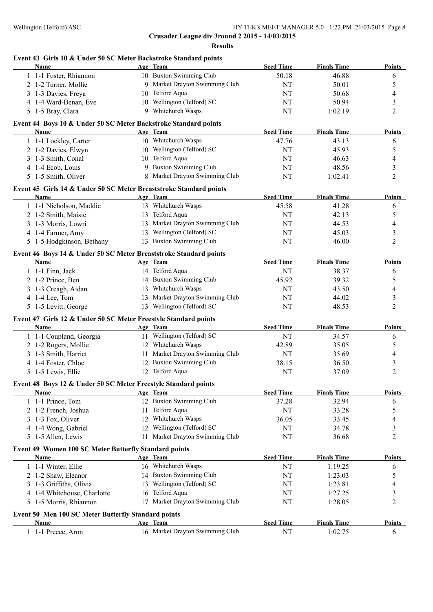**Results**

## **Event 43 Girls 10 & Under 50 SC Meter Backstroke Standard points**

| Name                                                               |    | Age Team                        | <b>Seed Time</b> | <b>Finals Time</b> | <b>Points</b>  |
|--------------------------------------------------------------------|----|---------------------------------|------------------|--------------------|----------------|
| 1 1-1 Foster, Rhiannon                                             |    | 10 Buxton Swimming Club         | 50.18            | 46.88              | 6              |
| 2 1-2 Turner, Mollie                                               |    | 9 Market Drayton Swimming Club  | NT               | 50.01              | 5              |
| 3 1-3 Davies, Freya                                                |    | 10 Telford Aqua                 | NT               | 50.68              | 4              |
| 4 1-4 Ward-Benan, Eve                                              |    | 10 Wellington (Telford) SC      | NT               | 50.94              | 3              |
| 5 1-5 Bray, Clara                                                  |    | 9 Whitchurch Wasps              | NT               | 1:02.19            | $\overline{c}$ |
| Event 44 Boys 10 & Under 50 SC Meter Backstroke Standard points    |    |                                 |                  |                    |                |
| Name                                                               |    | Age Team                        | <b>Seed Time</b> | <b>Finals Time</b> | <b>Points</b>  |
| 1 1-1 Lockley, Carter                                              |    | 10 Whitchurch Wasps             | 47.76            | 43.13              | 6              |
| 2 1-2 Davies, Elwyn                                                |    | 10 Wellington (Telford) SC      | NT               | 45.93              | 5              |
| 3 1-3 Smith, Conal                                                 |    | 10 Telford Aqua                 | NT               | 46.63              | 4              |
| 4 1-4 Ecob, Louis                                                  |    | 9 Buxton Swimming Club          | NT               | 48.56              | 3              |
| 5 1-5 Smith, Oliver                                                |    | 8 Market Drayton Swimming Club  | NT               | 1:02.41            | $\overline{c}$ |
| Event 45 Girls 14 & Under 50 SC Meter Breaststroke Standard points |    |                                 |                  |                    |                |
| Name                                                               |    | Age Team                        | <b>Seed Time</b> | <b>Finals Time</b> | <b>Points</b>  |
| 1 1-1 Nicholson, Maddie                                            |    | 13 Whitchurch Wasps             | 45.58            | 41.28              | 6              |
| 2 1-2 Smith, Maisie                                                |    | 13 Telford Aqua                 | NT               | 42.13              | 5              |
| 3 1-3 Morris, Lowri                                                |    | 13 Market Drayton Swimming Club | $\rm{NT}$        | 44.53              | 4              |
| 4 1-4 Farmer, Amy                                                  |    | 13 Wellington (Telford) SC      | NT               | 45.03              | 3              |
| 5 1-5 Hodgkinson, Bethany                                          |    | 13 Buxton Swimming Club         | NT               | 46.00              | 2              |
| Event 46 Boys 14 & Under 50 SC Meter Breaststroke Standard points  |    |                                 |                  |                    |                |
| Name                                                               |    | Age Team                        | <b>Seed Time</b> | <b>Finals Time</b> | <b>Points</b>  |
| 1 1-1 Finn, Jack                                                   |    | 14 Telford Aqua                 | NT               | 38.37              | 6              |
| 2 1-2 Prince, Ben                                                  |    | 14 Buxton Swimming Club         | 45.92            | 39.32              | 5              |
| 3 1-3 Creagh, Aidan                                                |    | 13 Whitchurch Wasps             | NT               | 43.50              | 4              |
| 4 1-4 Lee, Tom                                                     |    | 13 Market Drayton Swimming Club | NT               | 44.02              | 3              |
| 5 1-5 Levitt, George                                               |    | 13 Wellington (Telford) SC      | NT               | 48.53              | $\overline{c}$ |
| Event 47 Girls 12 & Under 50 SC Meter Freestyle Standard points    |    |                                 |                  |                    |                |
| Name                                                               |    | Age Team                        | <b>Seed Time</b> | <b>Finals Time</b> | <b>Points</b>  |
| 1 1-1 Coupland, Georgia                                            |    | 11 Wellington (Telford) SC      | NT               | 34.57              | 6              |
| 2 1-2 Rogers, Mollie                                               |    | 12 Whitchurch Wasps             | 42.89            | 35.05              | 5              |
| 3 1-3 Smith, Harriet                                               |    | 11 Market Drayton Swimming Club | NT               | 35.69              | 4              |
| 4 1-4 Foster, Chloe                                                |    | 12 Buxton Swimming Club         | 38.15            | 36.50              | 3              |
| 5 1-5 Lewis, Ellie                                                 |    | 12 Telford Aqua                 | NT               | 37.09              | $\overline{2}$ |
| Event 48 Boys 12 & Under 50 SC Meter Freestyle Standard points     |    |                                 |                  |                    |                |
| Name                                                               |    | <u>Age Team</u>                 | <b>Seed Time</b> | <b>Finals Time</b> | Points         |
| 1 1-1 Prince, Tom                                                  |    | 12 Buxton Swimming Club         | 37.28            | 32.94              | 6              |
| 2 1-2 French, Joshua                                               | 11 | Telford Aqua                    | NT               | 33.28              | 5              |
| 3 1-3 Fox, Oliver                                                  |    | 12 Whitchurch Wasps             | 36.05            | 33.45              | 4              |
| 4 1-4 Wong, Gabriel                                                |    | 12 Wellington (Telford) SC      | NT               | 34.78              | 3              |
| 5 1-5 Allen, Lewis                                                 |    | 11 Market Drayton Swimming Club | NT               | 36.68              | 2              |
| Event 49 Women 100 SC Meter Butterfly Standard points              |    |                                 |                  |                    |                |
| <b>Name</b>                                                        |    | Age Team                        | <b>Seed Time</b> | <b>Finals Time</b> | <b>Points</b>  |
| 1 1-1 Winter, Ellie                                                |    | 16 Whitchurch Wasps             | NT               | 1:19.25            | 6              |
| 2 1-2 Shaw, Eleanor                                                |    | 14 Buxton Swimming Club         | $\rm{NT}$        | 1:23.03            | 5              |
| 3 1-3 Griffiths, Olivia                                            |    | 13 Wellington (Telford) SC      | NT               | 1:23.81            | 4              |
| 4 1-4 Whitehouse, Charlotte                                        |    | 16 Telford Aqua                 | $\rm{NT}$        | 1:27.25            | 3              |
| 5 1-5 Morris, Rhiannon                                             |    | 17 Market Drayton Swimming Club | NT               | 1:28.05            | $\overline{2}$ |
| Event 50 Men 100 SC Meter Butterfly Standard points                |    |                                 |                  |                    |                |
| Name                                                               |    | Age Team                        | <b>Seed Time</b> | <b>Finals Time</b> | <b>Points</b>  |
| 1 1-1 Preece, Aron                                                 |    | 16 Market Drayton Swimming Club | $\rm{NT}$        | 1:02.75            | 6              |